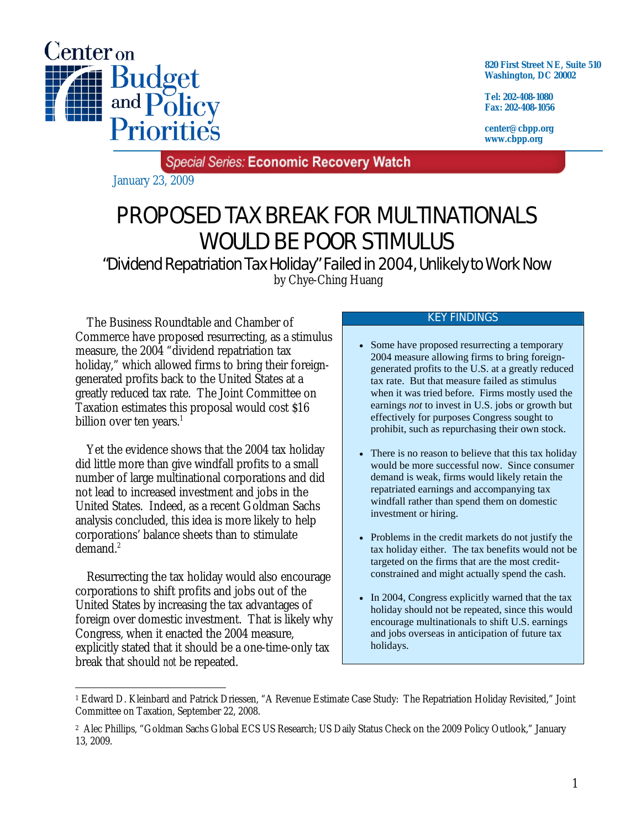

**820 First Street NE, Suite 510 Washington, DC 20002** 

**Tel: 202-408-1080 Fax: 202-408-1056** 

**center@cbpp.org www.cbpp.org** 

**Special Series: Economic Recovery Watch** 

January 23, 2009

# PROPOSED TAX BREAK FOR MULTINATIONALS WOULD BE POOR STIMULUS

"Dividend Repatriation Tax Holiday" Failed in 2004, Unlikely to Work Now by Chye-Ching Huang

 The Business Roundtable and Chamber of Commerce have proposed resurrecting, as a stimulus measure, the 2004 "dividend repatriation tax holiday," which allowed firms to bring their foreigngenerated profits back to the United States at a greatly reduced tax rate. The Joint Committee on Taxation estimates this proposal would cost \$16 billion over ten years. $<sup>1</sup>$ </sup>

 Yet the evidence shows that the 2004 tax holiday did little more than give windfall profits to a small number of large multinational corporations and did not lead to increased investment and jobs in the United States. Indeed, as a recent Goldman Sachs analysis concluded, this idea is more likely to help corporations' balance sheets than to stimulate demand. $^2$ 

 Resurrecting the tax holiday would also encourage corporations to shift profits and jobs out of the United States by increasing the tax advantages of foreign over domestic investment. That is likely why Congress, when it enacted the 2004 measure, explicitly stated that it should be a one-time-only tax break that should *not* be repeated.

#### KEY FINDINGS

- Some have proposed resurrecting a temporary 2004 measure allowing firms to bring foreigngenerated profits to the U.S. at a greatly reduced tax rate. But that measure failed as stimulus when it was tried before. Firms mostly used the earnings *not* to invest in U.S. jobs or growth but effectively for purposes Congress sought to prohibit, such as repurchasing their own stock.
- There is no reason to believe that this tax holiday would be more successful now. Since consumer demand is weak, firms would likely retain the repatriated earnings and accompanying tax windfall rather than spend them on domestic investment or hiring.
- Problems in the credit markets do not justify the tax holiday either. The tax benefits would not be targeted on the firms that are the most creditconstrained and might actually spend the cash.
- In 2004, Congress explicitly warned that the tax holiday should not be repeated, since this would encourage multinationals to shift U.S. earnings and jobs overseas in anticipation of future tax holidays.

<sup>-</sup>1 Edward D. Kleinbard and Patrick Driessen, "A Revenue Estimate Case Study: The Repatriation Holiday Revisited," Joint Committee on Taxation, September 22, 2008.

<sup>2</sup> Alec Phillips, "Goldman Sachs Global ECS US Research; US Daily Status Check on the 2009 Policy Outlook," January 13, 2009.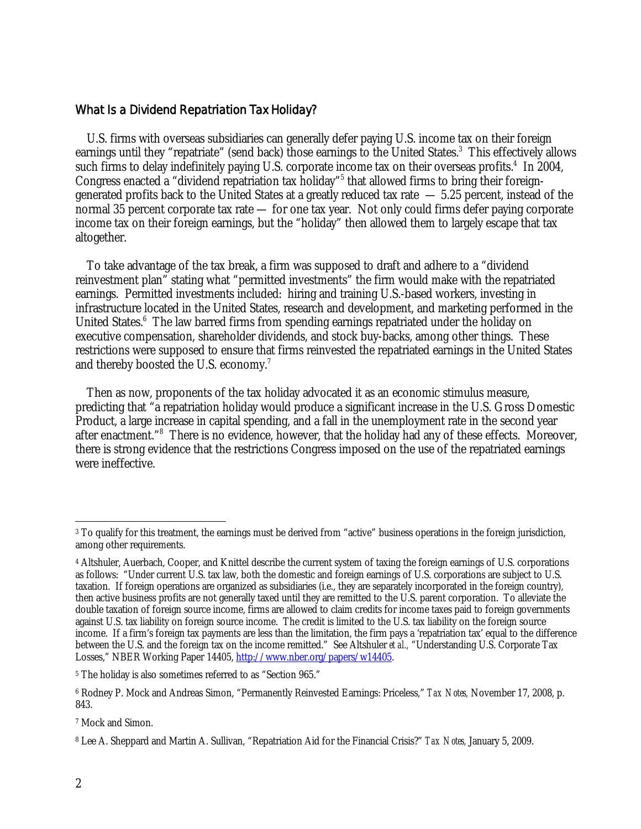### What Is a Dividend Repatriation Tax Holiday?

 U.S. firms with overseas subsidiaries can generally defer paying U.S. income tax on their foreign earnings until they "repatriate" (send back) those earnings to the United States.<sup>3</sup> This effectively allows such firms to delay indefinitely paying U.S. corporate income tax on their overseas profits.<sup>4</sup> In 2004, Congress enacted a "dividend repatriation tax holiday"<sup>5</sup> that allowed firms to bring their foreigngenerated profits back to the United States at a greatly reduced tax rate  $-5.25$  percent, instead of the normal 35 percent corporate tax rate — for one tax year. Not only could firms defer paying corporate income tax on their foreign earnings, but the "holiday" then allowed them to largely escape that tax altogether.

 To take advantage of the tax break, a firm was supposed to draft and adhere to a "dividend reinvestment plan" stating what "permitted investments" the firm would make with the repatriated earnings. Permitted investments included: hiring and training U.S.-based workers, investing in infrastructure located in the United States, research and development, and marketing performed in the United States.<sup>6</sup> The law barred firms from spending earnings repatriated under the holiday on executive compensation, shareholder dividends, and stock buy-backs, among other things. These restrictions were supposed to ensure that firms reinvested the repatriated earnings in the United States and thereby boosted the U.S. economy.7

 Then as now, proponents of the tax holiday advocated it as an economic stimulus measure, predicting that "a repatriation holiday would produce a significant increase in the U.S. Gross Domestic Product, a large increase in capital spending, and a fall in the unemployment rate in the second year after enactment."<sup>8</sup> There is no evidence, however, that the holiday had any of these effects. Moreover, there is strong evidence that the restrictions Congress imposed on the use of the repatriated earnings were ineffective.

5 The holiday is also sometimes referred to as "Section 965."

 $\overline{a}$ 3 To qualify for this treatment, the earnings must be derived from "active" business operations in the foreign jurisdiction, among other requirements.

<sup>4</sup> Altshuler, Auerbach, Cooper, and Knittel describe the current system of taxing the foreign earnings of U.S. corporations as follows: "Under current U.S. tax law, both the domestic and foreign earnings of U.S. corporations are subject to U.S. taxation. If foreign operations are organized as subsidiaries (i.e., they are separately incorporated in the foreign country), then active business profits are not generally taxed until they are remitted to the U.S. parent corporation. To alleviate the double taxation of foreign source income, firms are allowed to claim credits for income taxes paid to foreign governments against U.S. tax liability on foreign source income. The credit is limited to the U.S. tax liability on the foreign source income. If a firm's foreign tax payments are less than the limitation, the firm pays a 'repatriation tax' equal to the difference between the U.S. and the foreign tax on the income remitted." See Altshuler *et al.,* "Understanding U.S. Corporate Tax Losses," NBER Working Paper 14405, http://www.nber.org/papers/w14405.

<sup>6</sup> Rodney P. Mock and Andreas Simon, "Permanently Reinvested Earnings: Priceless," *Tax Notes,* November 17, 2008, p. 843.

<sup>7</sup> Mock and Simon.

<sup>8</sup> Lee A. Sheppard and Martin A. Sullivan, "Repatriation Aid for the Financial Crisis?" *Tax Notes,* January 5, 2009.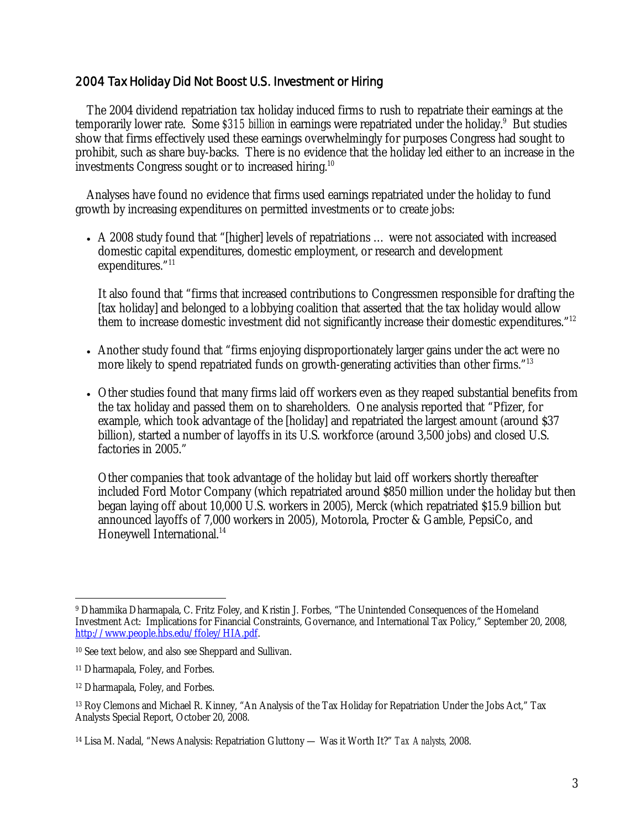## 2004 Tax Holiday Did Not Boost U.S. Investment or Hiring

 The 2004 dividend repatriation tax holiday induced firms to rush to repatriate their earnings at the temporarily lower rate. Some *\$315 billion* in earnings were repatriated under the holiday.<sup>9</sup> But studies show that firms effectively used these earnings overwhelmingly for purposes Congress had sought to prohibit, such as share buy-backs. There is no evidence that the holiday led either to an increase in the investments Congress sought or to increased hiring.<sup>10</sup>

 Analyses have found no evidence that firms used earnings repatriated under the holiday to fund growth by increasing expenditures on permitted investments or to create jobs:

• A 2008 study found that "[higher] levels of repatriations ... were not associated with increased domestic capital expenditures, domestic employment, or research and development expenditures."<sup>11</sup>

It also found that "firms that increased contributions to Congressmen responsible for drafting the [tax holiday] and belonged to a lobbying coalition that asserted that the tax holiday would allow them to increase domestic investment did not significantly increase their domestic expenditures."<sup>12</sup>

- Another study found that "firms enjoying disproportionately larger gains under the act were no more likely to spend repatriated funds on growth-generating activities than other firms."<sup>13</sup>
- Other studies found that many firms laid off workers even as they reaped substantial benefits from the tax holiday and passed them on to shareholders. One analysis reported that "Pfizer, for example, which took advantage of the [holiday] and repatriated the largest amount (around \$37 billion), started a number of layoffs in its U.S. workforce (around 3,500 jobs) and closed U.S. factories in 2005."

Other companies that took advantage of the holiday but laid off workers shortly thereafter included Ford Motor Company (which repatriated around \$850 million under the holiday but then began laying off about 10,000 U.S. workers in 2005), Merck (which repatriated \$15.9 billion but announced layoffs of 7,000 workers in 2005), Motorola, Procter & Gamble, PepsiCo, and Honeywell International.<sup>14</sup>

 $\overline{a}$ 9 Dhammika Dharmapala, C. Fritz Foley, and Kristin J. Forbes, "The Unintended Consequences of the Homeland Investment Act: Implications for Financial Constraints, Governance, and International Tax Policy," September 20, 2008, http://www.people.hbs.edu/ffoley/HIA.pdf.

<sup>10</sup> See text below, and also see Sheppard and Sullivan.

<sup>11</sup> Dharmapala, Foley, and Forbes.

<sup>12</sup> Dharmapala, Foley, and Forbes.

<sup>13</sup> Roy Clemons and Michael R. Kinney, "An Analysis of the Tax Holiday for Repatriation Under the Jobs Act," Tax Analysts Special Report, October 20, 2008.

<sup>14</sup> Lisa M. Nadal, "News Analysis: Repatriation Gluttony — Was it Worth It?" *Tax Analysts,* 2008.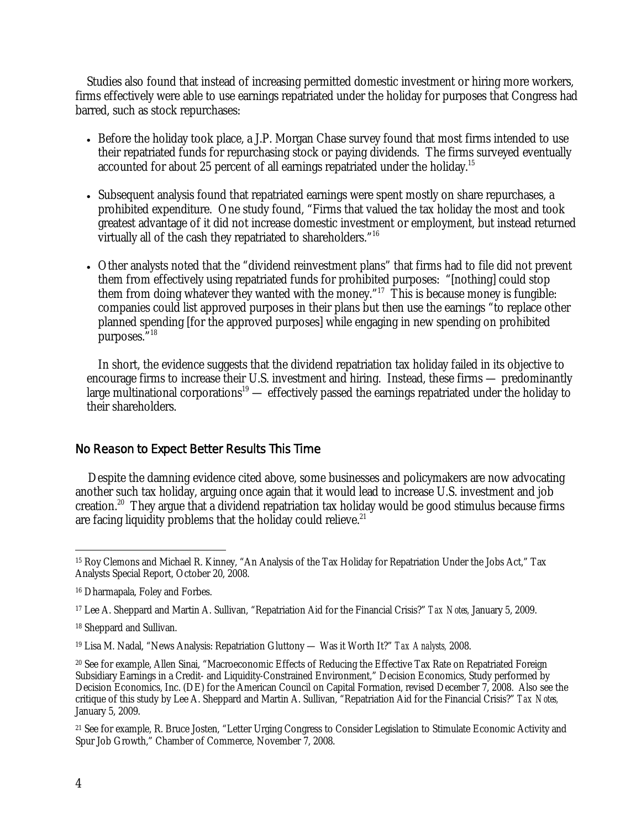Studies also found that instead of increasing permitted domestic investment or hiring more workers, firms effectively were able to use earnings repatriated under the holiday for purposes that Congress had barred, such as stock repurchases:

- Before the holiday took place, a J.P. Morgan Chase survey found that most firms intended to use their repatriated funds for repurchasing stock or paying dividends. The firms surveyed eventually accounted for about 25 percent of all earnings repatriated under the holiday.<sup>15</sup>
- Subsequent analysis found that repatriated earnings were spent mostly on share repurchases, a prohibited expenditure. One study found, "Firms that valued the tax holiday the most and took greatest advantage of it did not increase domestic investment or employment, but instead returned virtually all of the cash they repatriated to shareholders."16
- Other analysts noted that the "dividend reinvestment plans" that firms had to file did not prevent them from effectively using repatriated funds for prohibited purposes: "[nothing] could stop them from doing whatever they wanted with the money."<sup>17</sup> This is because money is fungible: companies could list approved purposes in their plans but then use the earnings "to replace other planned spending [for the approved purposes] while engaging in new spending on prohibited purposes."18

In short, the evidence suggests that the dividend repatriation tax holiday failed in its objective to encourage firms to increase their U.S. investment and hiring. Instead, these firms — predominantly large multinational corporations<sup>19</sup> — effectively passed the earnings repatriated under the holiday to their shareholders.

## No Reason to Expect Better Results This Time

Despite the damning evidence cited above, some businesses and policymakers are now advocating another such tax holiday, arguing once again that it would lead to increase U.S. investment and job creation.20 They argue that a dividend repatriation tax holiday would be good stimulus because firms are facing liquidity problems that the holiday could relieve. $21$ 

 $\overline{a}$ 15 Roy Clemons and Michael R. Kinney, "An Analysis of the Tax Holiday for Repatriation Under the Jobs Act," Tax Analysts Special Report, October 20, 2008.

<sup>16</sup> Dharmapala, Foley and Forbes.

<sup>17</sup> Lee A. Sheppard and Martin A. Sullivan, "Repatriation Aid for the Financial Crisis?" *Tax Notes,* January 5, 2009.

<sup>18</sup> Sheppard and Sullivan.

<sup>19</sup> Lisa M. Nadal, "News Analysis: Repatriation Gluttony — Was it Worth It?" *Tax Analysts,* 2008.

<sup>20</sup> See for example, Allen Sinai, "Macroeconomic Effects of Reducing the Effective Tax Rate on Repatriated Foreign Subsidiary Earnings in a Credit- and Liquidity-Constrained Environment," Decision Economics, Study performed by Decision Economics, Inc. (DE) for the American Council on Capital Formation, revised December 7, 2008. Also see the critique of this study by Lee A. Sheppard and Martin A. Sullivan, "Repatriation Aid for the Financial Crisis?" *Tax Notes,* January 5, 2009.

<sup>21</sup> See for example, R. Bruce Josten, "Letter Urging Congress to Consider Legislation to Stimulate Economic Activity and Spur Job Growth," Chamber of Commerce, November 7, 2008.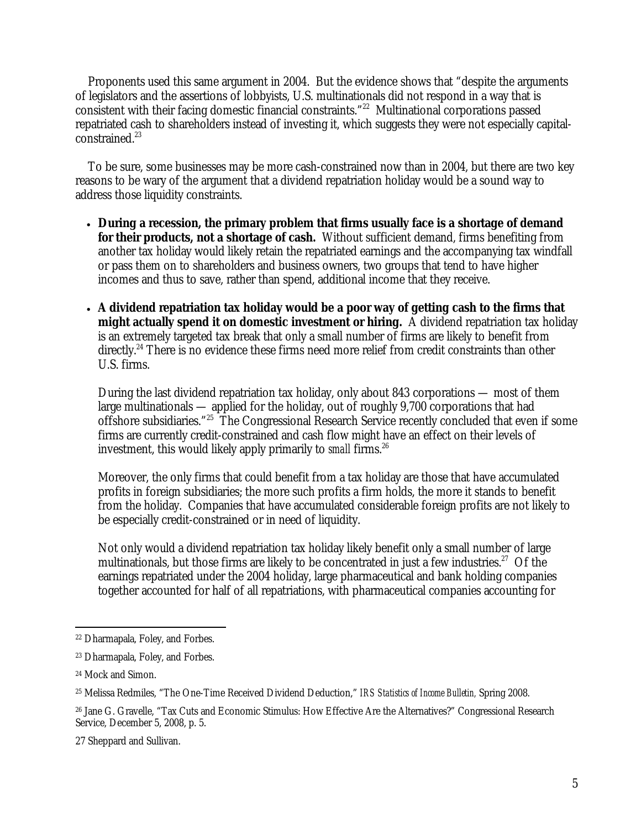Proponents used this same argument in 2004. But the evidence shows that "despite the arguments of legislators and the assertions of lobbyists, U.S. multinationals did not respond in a way that is consistent with their facing domestic financial constraints."22 Multinational corporations passed repatriated cash to shareholders instead of investing it, which suggests they were not especially capitalconstrained.<sup>23</sup>

To be sure, some businesses may be more cash-constrained now than in 2004, but there are two key reasons to be wary of the argument that a dividend repatriation holiday would be a sound way to address those liquidity constraints.

- **During a recession, the primary problem that firms usually face is a shortage of demand for their products, not a shortage of cash.** Without sufficient demand, firms benefiting from another tax holiday would likely retain the repatriated earnings and the accompanying tax windfall or pass them on to shareholders and business owners, two groups that tend to have higher incomes and thus to save, rather than spend, additional income that they receive.
- **A dividend repatriation tax holiday would be a poor way of getting cash to the firms that might actually spend it on domestic investment or hiring.** A dividend repatriation tax holiday is an extremely targeted tax break that only a small number of firms are likely to benefit from directly.<sup>24</sup> There is no evidence these firms need more relief from credit constraints than other U.S. firms.

During the last dividend repatriation tax holiday, only about 843 corporations — most of them large multinationals — applied for the holiday, out of roughly 9,700 corporations that had offshore subsidiaries."25 The Congressional Research Service recently concluded that even if some firms are currently credit-constrained and cash flow might have an effect on their levels of investment, this would likely apply primarily to *small* firms.<sup>26</sup>

Moreover, the only firms that could benefit from a tax holiday are those that have accumulated profits in foreign subsidiaries; the more such profits a firm holds, the more it stands to benefit from the holiday. Companies that have accumulated considerable foreign profits are not likely to be especially credit-constrained or in need of liquidity.

Not only would a dividend repatriation tax holiday likely benefit only a small number of large multinationals, but those firms are likely to be concentrated in just a few industries.<sup>27</sup> Of the earnings repatriated under the 2004 holiday, large pharmaceutical and bank holding companies together accounted for half of all repatriations, with pharmaceutical companies accounting for

 $\overline{a}$ 22 Dharmapala, Foley, and Forbes.

<sup>23</sup> Dharmapala, Foley, and Forbes.

<sup>24</sup> Mock and Simon.

<sup>25</sup> Melissa Redmiles, "The One-Time Received Dividend Deduction," *IRS Statistics of Income Bulletin,* Spring 2008.

<sup>26</sup> Jane G. Gravelle, "Tax Cuts and Economic Stimulus: How Effective Are the Alternatives?" Congressional Research Service, December 5, 2008, p. 5.

<sup>27</sup> Sheppard and Sullivan.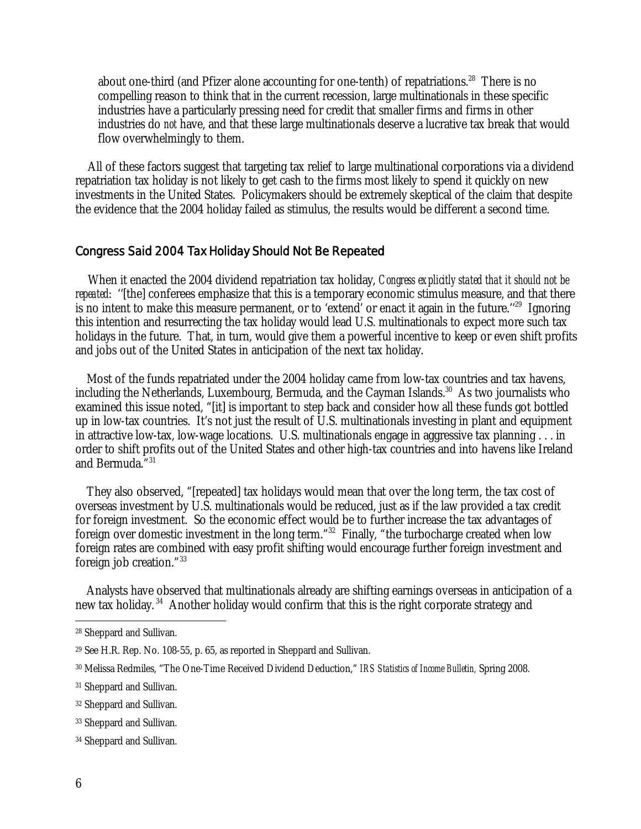about one-third (and Pfizer alone accounting for one-tenth) of repatriations.<sup>28</sup> There is no compelling reason to think that in the current recession, large multinationals in these specific industries have a particularly pressing need for credit that smaller firms and firms in other industries do *not* have, and that these large multinationals deserve a lucrative tax break that would flow overwhelmingly to them.

All of these factors suggest that targeting tax relief to large multinational corporations via a dividend repatriation tax holiday is not likely to get cash to the firms most likely to spend it quickly on new investments in the United States. Policymakers should be extremely skeptical of the claim that despite the evidence that the 2004 holiday failed as stimulus, the results would be different a second time.

#### Congress Said 2004 Tax Holiday Should Not Be Repeated

When it enacted the 2004 dividend repatriation tax holiday, *Congress explicitly stated that it should not be repeated*: ''[the] conferees emphasize that this is a temporary economic stimulus measure, and that there is no intent to make this measure permanent, or to 'extend' or enact it again in the future."<sup>29</sup> Ignoring this intention and resurrecting the tax holiday would lead U.S. multinationals to expect more such tax holidays in the future. That, in turn, would give them a powerful incentive to keep or even shift profits and jobs out of the United States in anticipation of the next tax holiday.

Most of the funds repatriated under the 2004 holiday came from low-tax countries and tax havens, including the Netherlands, Luxembourg, Bermuda, and the Cayman Islands.<sup>30</sup> As two journalists who examined this issue noted, "[it] is important to step back and consider how all these funds got bottled up in low-tax countries. It's not just the result of U.S. multinationals investing in plant and equipment in attractive low-tax, low-wage locations. U.S. multinationals engage in aggressive tax planning . . . in order to shift profits out of the United States and other high-tax countries and into havens like Ireland and Bermuda."31

They also observed, "[repeated] tax holidays would mean that over the long term, the tax cost of overseas investment by U.S. multinationals would be reduced, just as if the law provided a tax credit for foreign investment. So the economic effect would be to further increase the tax advantages of foreign over domestic investment in the long term."32 Finally, "the turbocharge created when low foreign rates are combined with easy profit shifting would encourage further foreign investment and foreign job creation."33

Analysts have observed that multinationals already are shifting earnings overseas in anticipation of a new tax holiday.<sup>34</sup> Another holiday would confirm that this is the right corporate strategy and

 $\overline{a}$ 

<sup>28</sup> Sheppard and Sullivan.

<sup>29</sup> See H.R. Rep. No. 108-55, p. 65, as reported in Sheppard and Sullivan.

<sup>30</sup> Melissa Redmiles, "The One-Time Received Dividend Deduction," *IRS Statistics of Income Bulletin,* Spring 2008.

<sup>31</sup> Sheppard and Sullivan.

<sup>32</sup> Sheppard and Sullivan.

<sup>33</sup> Sheppard and Sullivan.

<sup>34</sup> Sheppard and Sullivan.